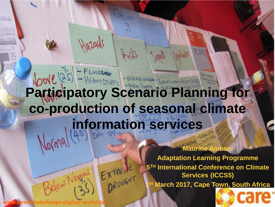# **Participatory Scenario Planning for co-production of seasonal climate information services**

GREUP

Hight

Hazards

**Maurine Ambani Adaptation Learning Programme 5TH International Conference on Climate Services (ICCS5) March 2017, Cape Town, South Africa** 

**Pelow Norgel EXTRENE**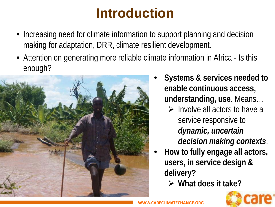### **Introduction**

- Increasing need for climate information to support planning and decision making for adaptation, DRR, climate resilient development.
- Attention on generating more reliable climate information in Africa Is this enough?



- **Systems & services needed to enable continuous access, understanding, use**. Means…
	- $\triangleright$  Involve all actors to have a service responsive to *dynamic, uncertain decision making contexts*.
- **How to fully engage all actors, users, in service design & delivery?**
	- **What does it take?**

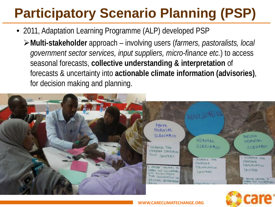# **Participatory Scenario Planning (PSP)**

- 2011, Adaptation Learning Programme (ALP) developed PSP
	- **Multi-stakeholder** approach involving users (*farmers, pastoralists, local government sector services, input suppliers, micro-finance etc.*) to access seasonal forecasts, **collective understanding & interpretation** of forecasts & uncertainty into **actionable climate information (advisories)**, for decision making and planning.

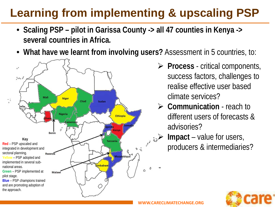#### **Learning from implementing & upscaling PSP**

- **Scaling PSP – pilot in Garissa County -> all 47 counties in Kenya -> several countries in Africa.**
- **What have we learnt from involving users?** Assessment in 5 countries, to:



- **Process**  critical components, success factors, challenges to realise effective user based climate services?
- **Communication** reach to different users of forecasts & advisories?
- **Impact** value for users, producers & intermediaries?

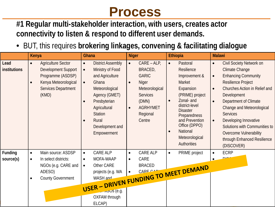#### **Process**

**#1 Regular multi-stakeholder interaction, with users, creates actor connectivity to listen & respond to different user demands.**

• BUT, this requires **brokering linkages, convening & facilitating dialogue** 

|                      | Kenya                                                                                                                                                                 | Ghana                                                                                                                                                                                                                                                                     | <b>Niger</b>                                                                                                                                                                    | Ethiopia                                                                                                                                                                                                                                                                                         | <b>Malawi</b>                                                                                                                                                                                                                                                                                                                                                                                                                                         |
|----------------------|-----------------------------------------------------------------------------------------------------------------------------------------------------------------------|---------------------------------------------------------------------------------------------------------------------------------------------------------------------------------------------------------------------------------------------------------------------------|---------------------------------------------------------------------------------------------------------------------------------------------------------------------------------|--------------------------------------------------------------------------------------------------------------------------------------------------------------------------------------------------------------------------------------------------------------------------------------------------|-------------------------------------------------------------------------------------------------------------------------------------------------------------------------------------------------------------------------------------------------------------------------------------------------------------------------------------------------------------------------------------------------------------------------------------------------------|
| Lead<br>institutions | <b>Agriculture Sector</b><br>$\bullet$<br><b>Development Support</b><br>Programme (ASDSP)<br>Kenya Meteorological<br>$\bullet$<br><b>Services Department</b><br>(KMD) | <b>District Assembly</b><br>$\bullet$<br>Ministry of Food<br>$\bullet$<br>and Agriculture<br>Ghana<br>$\bullet$<br>Meteorological<br>Agency (GMET)<br>Presbyterian<br>$\bullet$<br>Agricultural<br><b>Station</b><br>Rural<br>$\bullet$<br>Development and<br>Empowerment | $CARE - ALP,$<br>$\bullet$<br>BRACED,<br><b>GARIC</b><br>Niger<br>$\bullet$<br>Meteorological<br><b>Services</b><br>(DMN)<br><b>AGRHYMET</b><br>$\bullet$<br>Regional<br>Centre | Pastoral<br>$\bullet$<br><b>Resilience</b><br>Improvement &<br>Market<br>Expansion<br>(PRIME) project<br>Zonal- and<br>$\bullet$<br>district-level<br><b>Disaster</b><br>Preparedness<br>and Prevention<br>Office (DPPO)<br><b>National</b><br>$\bullet$<br>Meteorological<br><b>Authorities</b> | <b>Civil Society Network on</b><br>$\bullet$<br><b>Climate Change</b><br><b>Enhancing Community</b><br>$\bullet$<br><b>Resilience Project</b><br>Churches Action in Relief and<br>$\bullet$<br>Development<br>Department of Climate<br>$\bullet$<br>Change and Meteorological<br><b>Services</b><br>Developing Innovative<br>$\bullet$<br>Solutions with Communities to<br><b>Overcome Vulnerability</b><br>through Enhanced Resilience<br>(DISCOVER) |
| Funding<br>source(s) | Main source: ASDSP<br>$\bullet$<br>In select districts:<br>$\bullet$<br>NGOs (e.g. CARE and<br>ADESO)<br><b>County Government</b><br>$\bullet$                        | CARE ALP<br>$\bullet$<br>MOFA-WAAP<br>$\bullet$<br>USER - DRIVEN FUNDING TO MEET DEMAND<br>$L$ $\sim$ $\sqrt{S}$ (e.g.<br>OXFAM through<br>ELCAP)                                                                                                                         | CARE ALP<br>$\bullet$<br>CARE<br>$\bullet$                                                                                                                                      | PRIME project<br>$\bullet$                                                                                                                                                                                                                                                                       | <b>ECRP</b><br>$\bullet$<br>DIO.<br>$\bullet$                                                                                                                                                                                                                                                                                                                                                                                                         |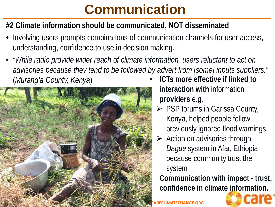## **Communication**

#### **#2 Climate information should be communicated, NOT disseminated**

- Involving users prompts combinations of communication channels for user access, understanding, confidence to use in decision making.
- *"While radio provide wider reach of climate information, users reluctant to act on advisories because they tend to be followed by advert from [some] inputs suppliers."*  (*Murang'a County, Kenya*) • **ICTs more effective if linked to**



- **interaction with** information **providers** e.g.
- $\triangleright$  PSP forums in Garissa County, Kenya, helped people follow previously ignored flood warnings.
- > Action on advisories through *Dague* system in Afar, Ethiopia because community trust the system

• **Communication with impact - trust, confidence in climate information.**

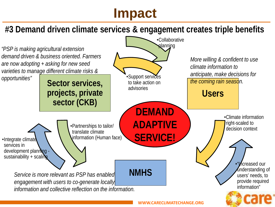### **Impact**

#### **#3 Demand driven climate services & engagement creates triple benefits**

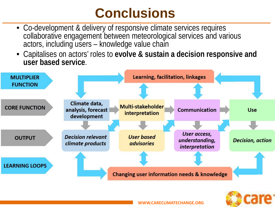### **Conclusions**

- Co-development & delivery of responsive climate services requires collaborative engagement between meteorological services and various actors, including users - knowledge value chain
- Capitalises on actors' roles to **evolve & sustain a decision responsive and user based service**.